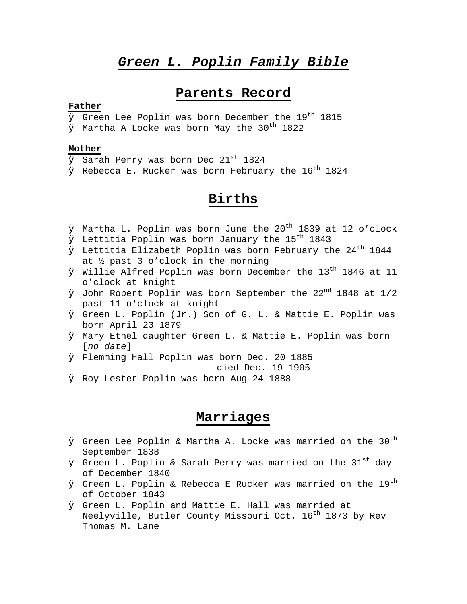# *Green L. Poplin Family Bible*

# **Parents Record**

## **Father**

 $\boldsymbol{ \mathcal{Q}}$  Green Lee Poplin was born December the 19th 1815

 $\varnothing$  Martha A Locke was born May the 30<sup>th</sup> 1822

## **Mother**

- $\overline{\varnothing}$  Sarah Perry was born Dec 21st 1824
- $\varnothing$  Rebecca E. Rucker was born February the 16<sup>th</sup> 1824

# **Births**

- $\varnothing$  Martha L. Poplin was born June the 20<sup>th</sup> 1839 at 12 o'clock
- $\emptyset$  Lettitia Poplin was born January the 15<sup>th</sup> 1843
- $\boldsymbol{\mathcal{O}}$  Lettitia Elizabeth Poplin was born February the 24 $^{\text{th}}$  1844 at ½ past 3 o'clock in the morning
- $\emptyset$  Willie Alfred Poplin was born December the 13<sup>th</sup> 1846 at 11 o'clock at knight
- $\emptyset$  John Robert Poplin was born September the 22<sup>nd</sup> 1848 at 1/2 past 11 o'clock at knight
- Ø Green L. Poplin (Jr.) Son of G. L. & Mattie E. Poplin was born April 23 1879
- $\varnothing$  Mary Ethel daughter Green L. & Mattie E. Poplin was born [*no date*]
- $\emptyset$  Flemming Hall Poplin was born Dec. 20 1885

died Dec. 19 1905

Ø Roy Lester Poplin was born Aug 24 1888

# **Marriages**

- $\boldsymbol{ \mathcal{Q}}$  Green Lee Poplin & Martha A. Locke was married on the 30th September 1838
- $\boldsymbol{\mathcal{D}}$  Green L. Poplin & Sarah Perry was married on the 31st day of December 1840
- $\boldsymbol{\mathcal{D}}$  Green L. Poplin & Rebecca E Rucker was married on the  $19^{\text{th}}$ of October 1843
- $\varnothing$  Green L. Poplin and Mattie E. Hall was married at Neelyville, Butler County Missouri Oct. 16<sup>th</sup> 1873 by Rev Thomas M. Lane